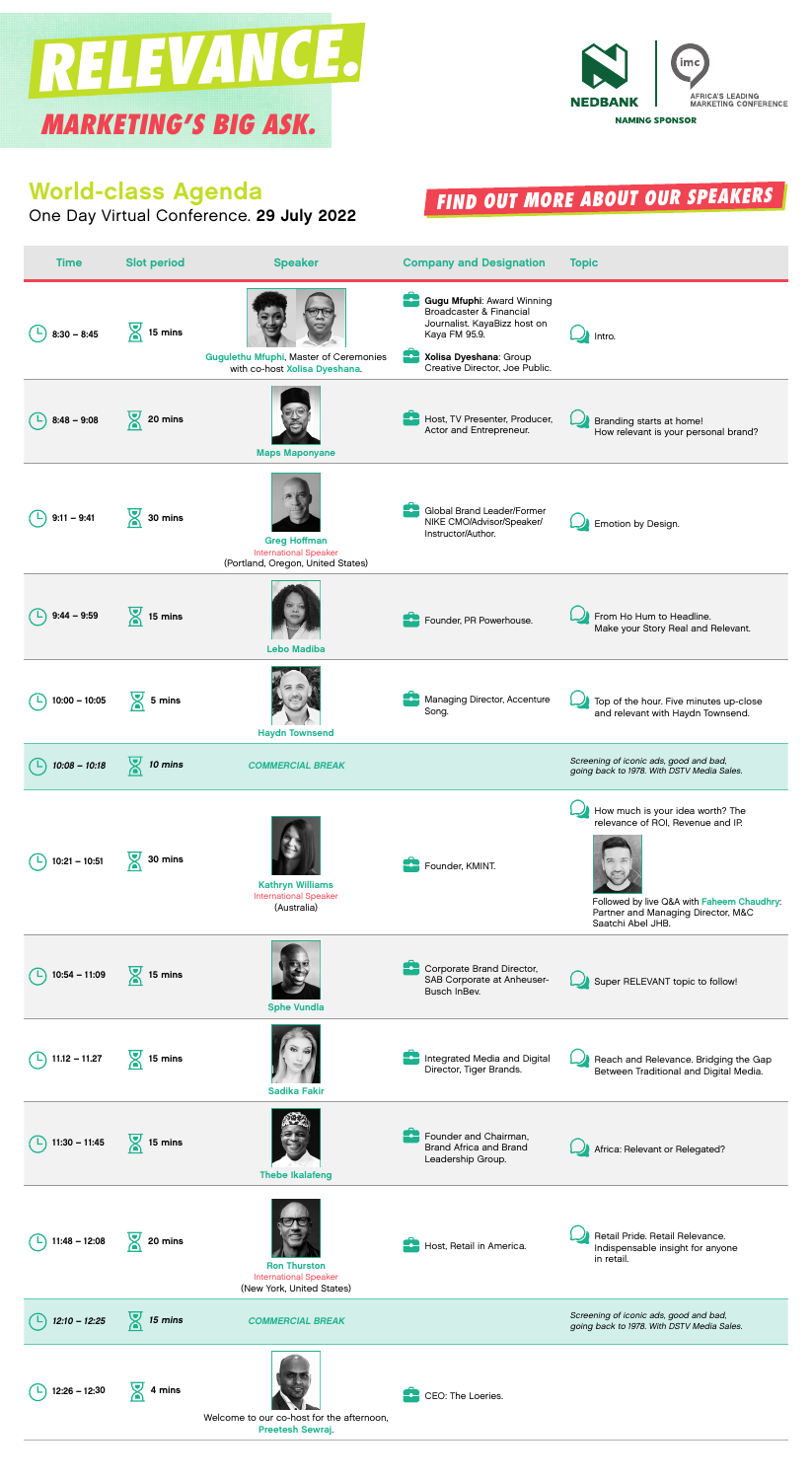## World-class Agenda

One Day Virtual Conference. 29 July 2022

| <b>Time</b>     | <b>Slot period</b>    | <b>Speaker</b>                                                                           | <b>Company and Designation</b>                                                                                                                                                       | <b>Topic</b>                                                                                                                                                                   |
|-----------------|-----------------------|------------------------------------------------------------------------------------------|--------------------------------------------------------------------------------------------------------------------------------------------------------------------------------------|--------------------------------------------------------------------------------------------------------------------------------------------------------------------------------|
| $8:30 - 8:45$   | $\frac{1}{2}$ 15 mins | <b>Gugulethu Mfuphi, Master of Ceremonies</b><br>with co-host Xolisa Dyeshana.           | <b>Gugu Mfuphi: Award Winning</b><br><b>Broadcaster &amp; Financial</b><br>Journalist. KayaBizz host on<br>Kaya FM 95.9.<br>Xolisa Dyeshana: Group<br>Creative Director, Joe Public. | Intro.                                                                                                                                                                         |
| $8:48 - 9:08$   | 20 mins               | <b>Maps Maponyane</b>                                                                    | Host, TV Presenter, Producer,<br>Actor and Entrepreneur.                                                                                                                             | Branding starts at home!<br>How relevant is your personal brand?                                                                                                               |
| $9:11 - 9:41$   | 30 mins               | <b>Greg Hoffman</b><br><b>International Speaker</b><br>(Portland, Oregon, United States) | Global Brand Leader/Former<br>NIKE CMO/Advisor/Speaker/<br>Instructor/Author.                                                                                                        | Emotion by Design.                                                                                                                                                             |
| $9:44 - 9:59$   | $\frac{1}{2}$ 15 mins | <b>Lebo Madiba</b>                                                                       | Founder, PR Powerhouse.                                                                                                                                                              | From Ho Hum to Headline.<br>Make your Story Real and Relevant.                                                                                                                 |
| $10:00 - 10:05$ | 5 mins                | <b>Haydn Townsend</b>                                                                    | Managing Director, Accenture<br>Song.                                                                                                                                                | Top of the hour. Five minutes up-close<br>and relevant with Haydn Townsend.                                                                                                    |
| $10:08 - 10:18$ | $\frac{1}{2}$ 10 mins | <b>COMMERCIAL BREAK</b>                                                                  |                                                                                                                                                                                      | Screening of iconic ads, good and bad,<br>going back to 1978. With DSTV Media Sales.                                                                                           |
| $10:21 - 10:51$ | 30 mins               | <b>Kathryn Williams</b><br><b>International Speaker</b><br>(Australia)                   | Founder, KMINT.                                                                                                                                                                      | How much is your idea worth? The<br>relevance of ROI, Revenue and IP.<br>Followed by live Q&A with Faheem Chaudhry:<br>Partner and Managing Director, M&C<br>Saatchi Abel JHB. |
| $10:54 - 11:09$ | 15 mins               | <b>Sphe Vundla</b>                                                                       | Corporate Brand Director,<br>SAB Corporate at Anheuser-<br>Busch InBev.                                                                                                              | Super RELEVANT topic to follow!                                                                                                                                                |
| $11.12 - 11.27$ | 15 mins               | <b>Sadika Fakir</b>                                                                      | Integrated Media and Digital<br>Director, Tiger Brands.                                                                                                                              | Reach and Relevance. Bridging the Gap<br>Between Traditional and Digital Media.                                                                                                |
| $11:30 - 11:45$ | 15 mins               | <b>Thebe Ikalafeng</b>                                                                   | Founder and Chairman,<br><b>Brand Africa and Brand</b><br>Leadership Group.                                                                                                          | Africa: Relevant or Relegated?                                                                                                                                                 |
| $11:48 - 12:08$ | $\frac{1}{2}$ 20 mins | <b>Ron Thurston</b><br><b>International Speaker</b><br>(New York, United States)         | Host, Retail in America.                                                                                                                                                             | Retail Pride. Retail Relevance.<br>Indispensable insight for anyone<br>in retail.                                                                                              |
| $12:10 - 12:25$ | $\frac{1}{2}$ 15 mins | <b>COMMERCIAL BREAK</b>                                                                  |                                                                                                                                                                                      | Screening of iconic ads, good and bad,<br>going back to 1978. With DSTV Media Sales.                                                                                           |
| $12:26 - 12:30$ | $\frac{1}{2}$ 4 mins  | Welcome to our co-host for the afternoon,<br><b>Preetesh Sewraj</b>                      | CEO: The Loeries.                                                                                                                                                                    |                                                                                                                                                                                |



## [FIND OUT MORE ABOUT OUR SPEAKERS](https://imcconference.com/speakers/)